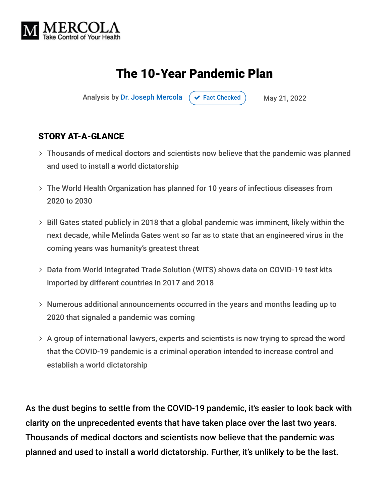

# The 10-Year Pandemic Plan

Analysis by [Dr. Joseph Mercola](https://www.mercola.com/forms/background.htm)  $\left( \vee \right)$  [Fact Checked](javascript:void(0))  $\left( \right)$  May 21, 2022

#### STORY AT-A-GLANCE

- Thousands of medical doctors and scientists now believe that the pandemic was planned and used to install a world dictatorship
- The World Health Organization has planned for 10 years of infectious diseases from 2020 to 2030
- Bill Gates stated publicly in 2018 that a global pandemic was imminent, likely within the next decade, while Melinda Gates went so far as to state that an engineered virus in the coming years was humanity's greatest threat
- Data from World Integrated Trade Solution (WITS) shows data on COVID-19 test kits imported by different countries in 2017 and 2018
- Numerous additional announcements occurred in the years and months leading up to 2020 that signaled a pandemic was coming
- $>$  A group of international lawyers, experts and scientists is now trying to spread the word that the COVID-19 pandemic is a criminal operation intended to increase control and establish a world dictatorship

As the dust begins to settle from the COVID-19 pandemic, it's easier to look back with clarity on the unprecedented events that have taken place over the last two years. Thousands of medical doctors and scientists now believe that the pandemic was planned and used to install a world dictatorship. Further, it's unlikely to be the last.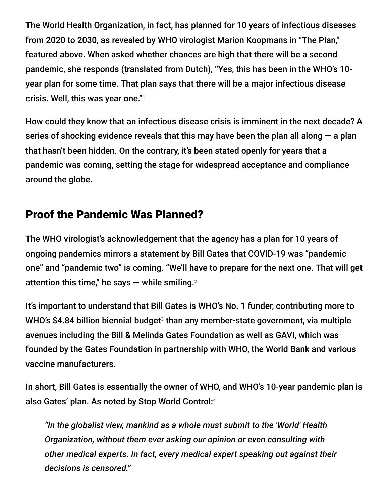The World Health Organization, in fact, has planned for 10 years of infectious diseases from 2020 to 2030, as revealed by WHO virologist Marion Koopmans in "The Plan," featured above. When asked whether chances are high that there will be a second pandemic, she responds (translated from Dutch), "Yes, this has been in the WHO's 10 year plan for some time. That plan says that there will be a major infectious disease crisis. Well, this was year one." 1

How could they know that an infectious disease crisis is imminent in the next decade? A series of shocking evidence reveals that this may have been the plan all along  $-$  a plan that hasn't been hidden. On the contrary, it's been stated openly for years that a pandemic was coming, setting the stage for widespread acceptance and compliance around the globe.

### Proof the Pandemic Was Planned?

The WHO virologist's acknowledgement that the agency has a plan for 10 years of ongoing pandemics mirrors a statement by Bill Gates that COVID-19 was "pandemic one" and "pandemic two" is coming. "We'll have to prepare for the next one. That will get attention this time," he says — while smiling. $^{\rm 2}$ 

It's important to understand that Bill Gates is WHO's No. 1 funder, contributing more to WHO's \$4.84 billion biennial budget<sup>3</sup> than any member-state government, via multiple avenues including the Bill & Melinda Gates Foundation as well as GAVI, which was founded by the Gates Foundation in partnership with WHO, the World Bank and various vaccine manufacturers.

In short, Bill Gates is essentially the owner of WHO, and WHO's 10-year pandemic plan is also Gates' plan. As noted by Stop World Control: 4

*"In the globalist view, mankind as a whole must submit to the 'World' Health Organization, without them ever asking our opinion or even consulting with other medical experts. In fact, every medical expert speaking out against their decisions is censored."*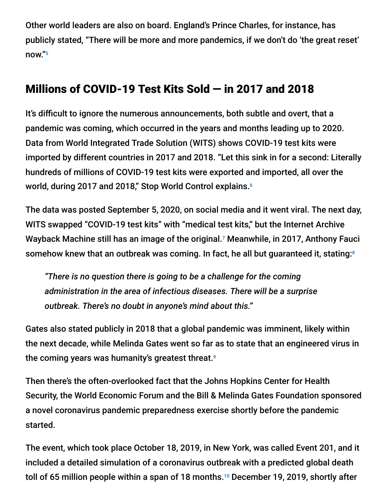Other world leaders are also on board. England's Prince Charles, for instance, has publicly stated, "There will be more and more pandemics, if we don't do 'the great reset' now." 5

### Millions of COVID-19 Test Kits Sold — in 2017 and 2018

It's difficult to ignore the numerous announcements, both subtle and overt, that a pandemic was coming, which occurred in the years and months leading up to 2020. Data from World Integrated Trade Solution (WITS) shows COVID-19 test kits were imported by different countries in 2017 and 2018. "Let this sink in for a second: Literally hundreds of millions of COVID-19 test kits were exported and imported, all over the world, during 2017 and 2018," Stop World Control explains. 6

The data was posted September 5, 2020, on social media and it went viral. The next day, WITS swapped "COVID-19 test kits" with "medical test kits," but the Internet Archive Wayback Machine still has an image of the original.<sup>7</sup> Meanwhile, in 2017, Anthony Fauci somehow knew that an outbreak was coming. In fact, he all but guaranteed it, stating: 8

*"There is no question there is going to be a challenge for the coming administration in the area of infectious diseases. There will be a surprise outbreak. There's no doubt in anyone's mind about this."*

Gates also stated publicly in 2018 that a global pandemic was imminent, likely within the next decade, while Melinda Gates went so far as to state that an engineered virus in the coming years was humanity's greatest threat. 9

Then there's the often-overlooked fact that the Johns Hopkins Center for Health Security, the World Economic Forum and the Bill & Melinda Gates Foundation sponsored a novel coronavirus pandemic preparedness exercise shortly before the pandemic started.

The event, which took place October 18, 2019, in New York, was called Event 201, and it included a detailed simulation of a coronavirus outbreak with a predicted global death toll of 65 million people within a span of 18 months. $^{\text{\tiny{10}}}$  December 19, 2019, shortly after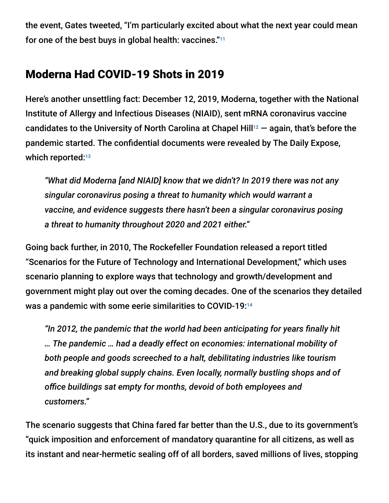the event, Gates tweeted, "I'm particularly excited about what the next year could mean for one of the best buys in global health: vaccines." 11

### Moderna Had COVID-19 Shots in 2019

Here's another unsettling fact: December 12, 2019, Moderna, together with the National Institute of Allergy and Infectious Diseases (NIAID), sent mRNA coronavirus vaccine candidates to the University of North Carolina at Chapel Hill $^{12}$   $-$  again, that's before the pandemic started. The confidential documents were revealed by The Daily Expose, which reported:<sup>13</sup>

*"What did Moderna [and NIAID] know that we didn't? In 2019 there was not any singular coronavirus posing a threat to humanity which would warrant a vaccine, and evidence suggests there hasn't been a singular coronavirus posing a threat to humanity throughout 2020 and 2021 either."*

Going back further, in 2010, The Rockefeller Foundation released a report titled "Scenarios for the Future of Technology and International Development," which uses scenario planning to explore ways that technology and growth/development and government might play out over the coming decades. One of the scenarios they detailed was a pandemic with some eerie similarities to COVID-19: 14

*"In 2012, the pandemic that the world had been anticipating for years finally hit … The pandemic … had a deadly effect on economies: international mobility of both people and goods screeched to a halt, debilitating industries like tourism and breaking global supply chains. Even locally, normally bustling shops and of office buildings sat empty for months, devoid of both employees and customers."*

The scenario suggests that China fared far better than the U.S., due to its government's "quick imposition and enforcement of mandatory quarantine for all citizens, as well as its instant and near-hermetic sealing off of all borders, saved millions of lives, stopping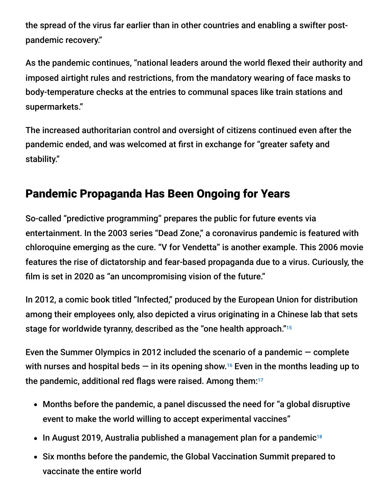the spread of the virus far earlier than in other countries and enabling a swifter postpandemic recovery."

As the pandemic continues, "national leaders around the world flexed their authority and imposed airtight rules and restrictions, from the mandatory wearing of face masks to body-temperature checks at the entries to communal spaces like train stations and supermarkets."

The increased authoritarian control and oversight of citizens continued even after the pandemic ended, and was welcomed at first in exchange for "greater safety and stability."

## Pandemic Propaganda Has Been Ongoing for Years

So-called "predictive programming" prepares the public for future events via entertainment. In the 2003 series "Dead Zone," a coronavirus pandemic is featured with chloroquine emerging as the cure. "V for Vendetta" is another example. This 2006 movie features the rise of dictatorship and fear-based propaganda due to a virus. Curiously, the film is set in 2020 as "an uncompromising vision of the future."

In 2012, a comic book titled "Infected," produced by the European Union for distribution among their employees only, also depicted a virus originating in a Chinese lab that sets stage for worldwide tyranny, described as the "one health approach." 15

Even the Summer Olympics in 2012 included the scenario of a pandemic — complete with nurses and hospital beds  $-$  in its opening show.<sup>16</sup> Even in the months leading up to the pandemic, additional red flags were raised. Among them: 17

- Months before the pandemic, a panel discussed the need for "a global disruptive event to make the world willing to accept experimental vaccines"
- In August 2019, Australia published a management plan for a pandemic 18
- Six months before the pandemic, the Global Vaccination Summit prepared to vaccinate the entire world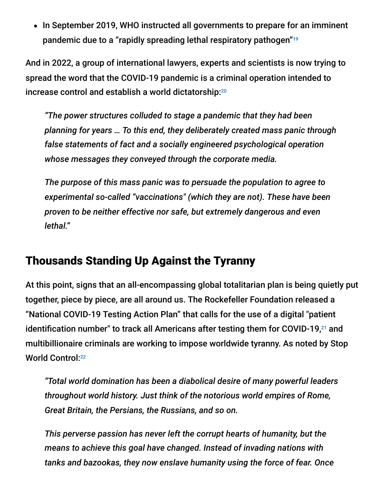• In September 2019, WHO instructed all governments to prepare for an imminent pandemic due to a "rapidly spreading lethal respiratory pathogen" 19

And in 2022, a group of international lawyers, experts and scientists is now trying to spread the word that the COVID-19 pandemic is a criminal operation intended to increase control and establish a world dictatorship: 20

*"The power structures colluded to stage a pandemic that they had been planning for years … To this end, they deliberately created mass panic through false statements of fact and a socially engineered psychological operation whose messages they conveyed through the corporate media.*

*The purpose of this mass panic was to persuade the population to agree to experimental so-called "vaccinations" (which they are not). These have been proven to be neither effective nor safe, but extremely dangerous and even lethal."*

#### Thousands Standing Up Against the Tyranny

At this point, signs that an all-encompassing global totalitarian plan is being quietly put together, piece by piece, are all around us. The Rockefeller Foundation released a "National COVID-19 Testing Action Plan" that calls for the use of a digital "patient identification number" to track all Americans after testing them for COVID-19,<sup>21</sup> and multibillionaire criminals are working to impose worldwide tyranny. As noted by Stop World Control: 22

*"Total world domination has been a diabolical desire of many powerful leaders throughout world history. Just think of the notorious world empires of Rome, Great Britain, the Persians, the Russians, and so on.*

*This perverse passion has never left the corrupt hearts of humanity, but the means to achieve this goal have changed. Instead of invading nations with tanks and bazookas, they now enslave humanity using the force of fear. Once*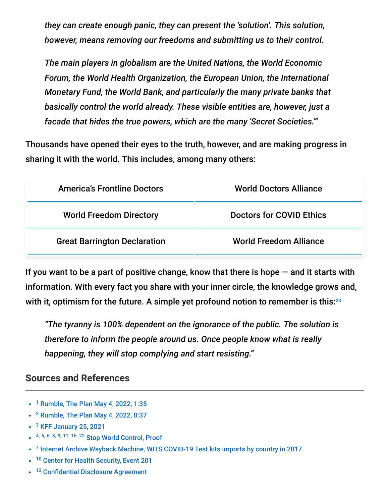*they can create enough panic, they can present the 'solution'. This solution, however, means removing our freedoms and submitting us to their control.*

*The main players in globalism are the United Nations, the World Economic Forum, the World Health Organization, the European Union, the International Monetary Fund, the World Bank, and particularly the many private banks that basically control the world already. These visible entities are, however, just a facade that hides the true powers, which are the many 'Secret Societies.'"*

Thousands have opened their eyes to the truth, however, and are making progress in sharing it with the world. This includes, among many others:

| <b>America's Frontline Doctors</b>  | <b>World Doctors Alliance</b>   |
|-------------------------------------|---------------------------------|
| <b>World Freedom Directory</b>      | <b>Doctors for COVID Ethics</b> |
| <b>Great Barrington Declaration</b> | <b>World Freedom Alliance</b>   |

If you want to be a part of positive change, know that there is hope  $-$  and it starts with information. With every fact you share with your inner circle, the knowledge grows and, with it, optimism for the future. A simple yet profound notion to remember is this: $^{23}$ 

*"The tyranny is 100% dependent on the ignorance of the public. The solution is therefore to inform the people around us. Once people know what is really happening, they will stop complying and start resisting."*

#### **Sources and References**

- <sup>1</sup> [Rumble, The Plan May 4, 2022, 1:35](https://rumble.com/v13ghrb-the-plan-the-who-plans-for-10-years-of-pandemics-form-2020-to-2030.html)
- $2$  [Rumble, The Plan May 4, 2022, 0:37](https://rumble.com/v13ghrb-the-plan-the-who-plans-for-10-years-of-pandemics-form-2020-to-2030.html)
- <sup>3</sup> [KFF January 25, 2021](https://www.kff.org/coronavirus-covid-19/fact-sheet/the-u-s-government-and-the-world-health-organization/)
- 4, 5, 6, 8, 9, 11, 16, 22 [Stop World Control, Proof](https://stopworldcontrol.com/proof/)
- $<sup>7</sup>$  [Internet Archive Wayback Machine, WITS COVID-19 Test kits imports by country in 2017](https://web.archive.org/web/20200905210427if_/https:/wits.worldbank.org/trade/comtrade/en/country/ALL/year/2017/tradeflow/Imports/partner/WLD/nomen/h5/product/300215)</sup>
- <sup>10</sup> [Center for Health Security, Event 201](http://www.centerforhealthsecurity.org/event201/)  $\bullet$
- <sup>12</sup> [Confidential Disclosure Agreement](https://s3.documentcloud.org/documents/6935295/NIH-Moderna-Confidential-Agreements.pdf)